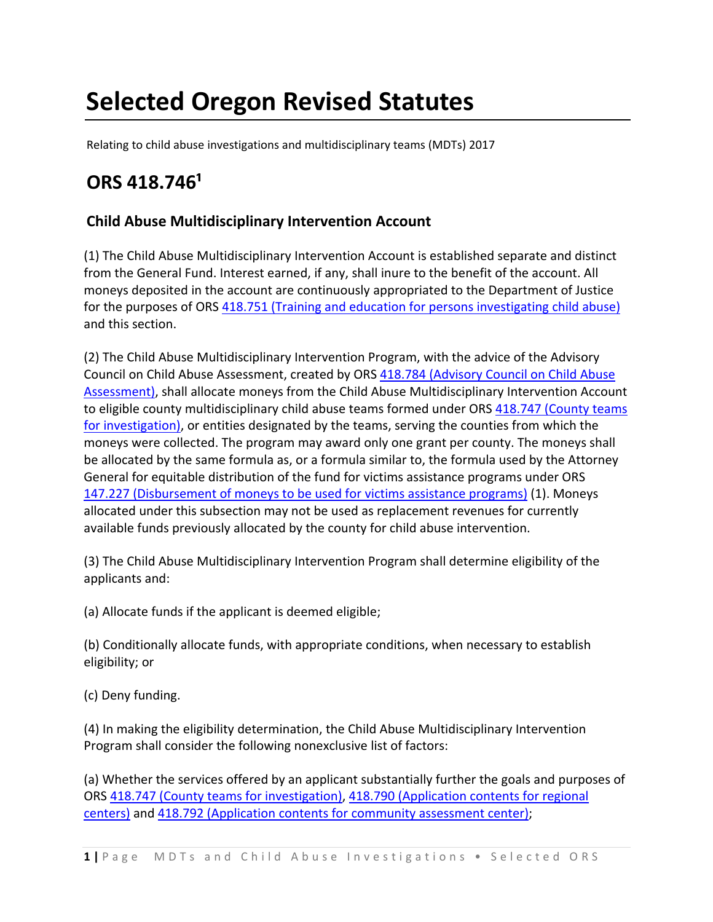# **Selected Oregon Revised Statutes**

Relating to child abuse investigations and multidisciplinary teams (MDTs) 2017

# **ORS 418.746¹**

### **Child Abuse Multidisciplinary Intervention Account**

(1) The Child Abuse Multidisciplinary Intervention Account is established separate and distinct from the General Fund. Interest earned, if any, shall inure to the benefit of the account. All moneys deposited in the account are continuously appropriated to the Department of Justice for the purposes of ORS 418.751 (Training and education for persons investigating child abuse) and this section.

(2) The Child Abuse Multidisciplinary Intervention Program, with the advice of the Advisory Council on Child Abuse Assessment, created by ORS 418.784 (Advisory Council on Child Abuse Assessment), shall allocate moneys from the Child Abuse Multidisciplinary Intervention Account to eligible county multidisciplinary child abuse teams formed under ORS 418.747 (County teams for investigation), or entities designated by the teams, serving the counties from which the moneys were collected. The program may award only one grant per county. The moneys shall be allocated by the same formula as, or a formula similar to, the formula used by the Attorney General for equitable distribution of the fund for victims assistance programs under ORS 147.227 (Disbursement of moneys to be used for victims assistance programs) (1). Moneys allocated under this subsection may not be used as replacement revenues for currently available funds previously allocated by the county for child abuse intervention.

(3) The Child Abuse Multidisciplinary Intervention Program shall determine eligibility of the applicants and:

(a) Allocate funds if the applicant is deemed eligible;

(b) Conditionally allocate funds, with appropriate conditions, when necessary to establish eligibility; or

(c) Deny funding.

(4) In making the eligibility determination, the Child Abuse Multidisciplinary Intervention Program shall consider the following nonexclusive list of factors:

(a) Whether the services offered by an applicant substantially further the goals and purposes of ORS 418.747 (County teams for investigation), 418.790 (Application contents for regional centers) and 418.792 (Application contents for community assessment center);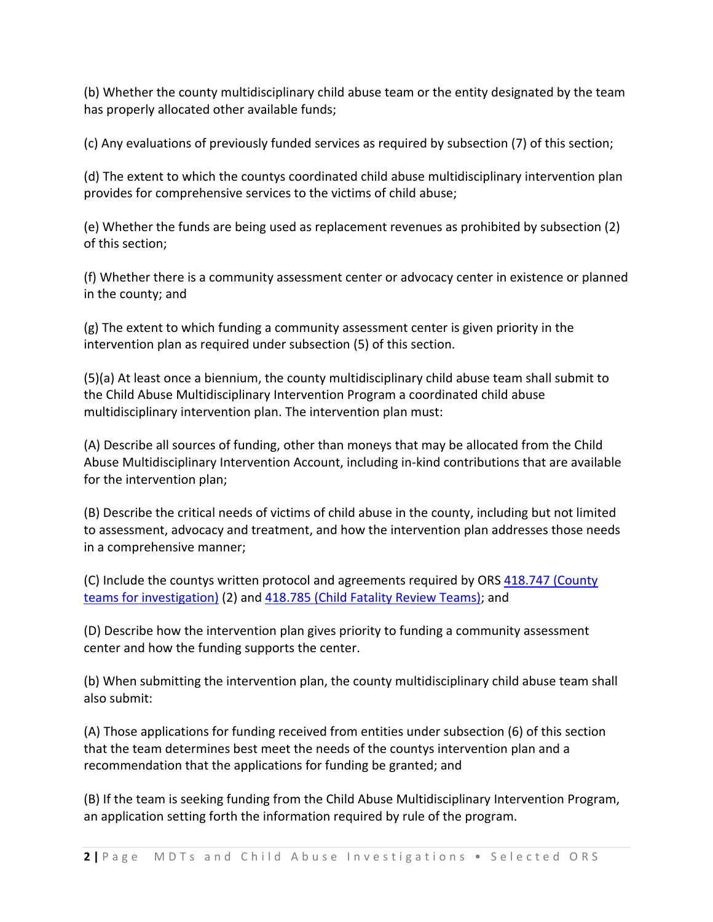(b) Whether the county multidisciplinary child abuse team or the entity designated by the team has properly allocated other available funds;

(c) Any evaluations of previously funded services as required by subsection (7) of this section;

(d) The extent to which the countys coordinated child abuse multidisciplinary intervention plan provides for comprehensive services to the victims of child abuse;

(e) Whether the funds are being used as replacement revenues as prohibited by subsection (2) of this section;

(f) Whether there is a community assessment center or advocacy center in existence or planned in the county; and

(g) The extent to which funding a community assessment center is given priority in the intervention plan as required under subsection (5) of this section.

(5)(a) At least once a biennium, the county multidisciplinary child abuse team shall submit to the Child Abuse Multidisciplinary Intervention Program a coordinated child abuse multidisciplinary intervention plan. The intervention plan must:

(A) Describe all sources of funding, other than moneys that may be allocated from the Child Abuse Multidisciplinary Intervention Account, including in‐kind contributions that are available for the intervention plan;

(B) Describe the critical needs of victims of child abuse in the county, including but not limited to assessment, advocacy and treatment, and how the intervention plan addresses those needs in a comprehensive manner;

(C) Include the countys written protocol and agreements required by ORS 418.747 (County teams for investigation) (2) and 418.785 (Child Fatality Review Teams); and

(D) Describe how the intervention plan gives priority to funding a community assessment center and how the funding supports the center.

(b) When submitting the intervention plan, the county multidisciplinary child abuse team shall also submit:

(A) Those applications for funding received from entities under subsection (6) of this section that the team determines best meet the needs of the countys intervention plan and a recommendation that the applications for funding be granted; and

(B) If the team is seeking funding from the Child Abuse Multidisciplinary Intervention Program, an application setting forth the information required by rule of the program.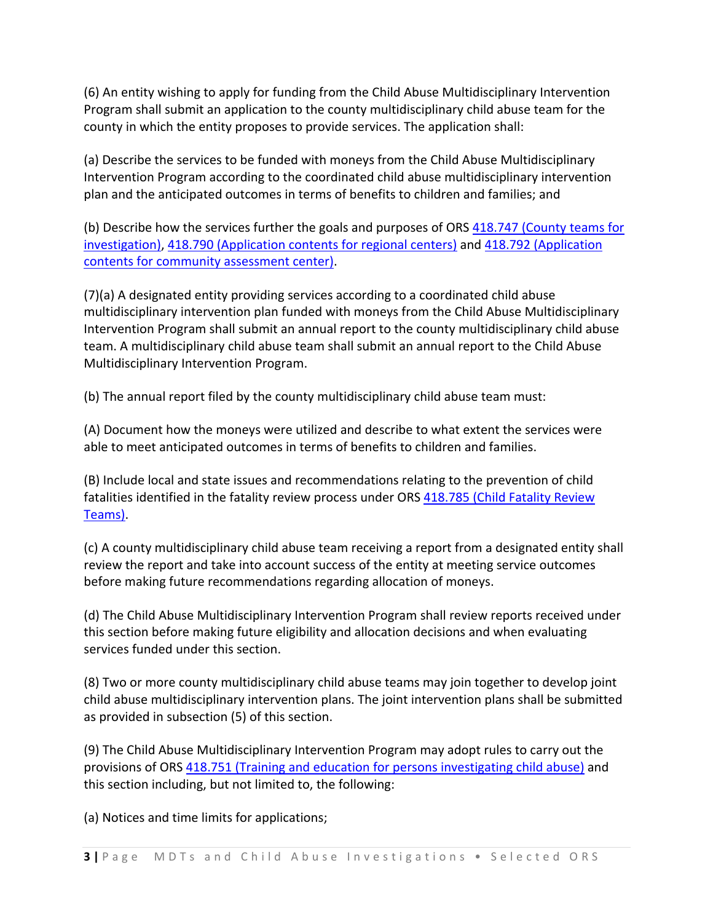(6) An entity wishing to apply for funding from the Child Abuse Multidisciplinary Intervention Program shall submit an application to the county multidisciplinary child abuse team for the county in which the entity proposes to provide services. The application shall:

(a) Describe the services to be funded with moneys from the Child Abuse Multidisciplinary Intervention Program according to the coordinated child abuse multidisciplinary intervention plan and the anticipated outcomes in terms of benefits to children and families; and

(b) Describe how the services further the goals and purposes of ORS 418.747 (County teams for investigation), 418.790 (Application contents for regional centers) and 418.792 (Application contents for community assessment center).

(7)(a) A designated entity providing services according to a coordinated child abuse multidisciplinary intervention plan funded with moneys from the Child Abuse Multidisciplinary Intervention Program shall submit an annual report to the county multidisciplinary child abuse team. A multidisciplinary child abuse team shall submit an annual report to the Child Abuse Multidisciplinary Intervention Program.

(b) The annual report filed by the county multidisciplinary child abuse team must:

(A) Document how the moneys were utilized and describe to what extent the services were able to meet anticipated outcomes in terms of benefits to children and families.

(B) Include local and state issues and recommendations relating to the prevention of child fatalities identified in the fatality review process under ORS 418.785 (Child Fatality Review Teams).

(c) A county multidisciplinary child abuse team receiving a report from a designated entity shall review the report and take into account success of the entity at meeting service outcomes before making future recommendations regarding allocation of moneys.

(d) The Child Abuse Multidisciplinary Intervention Program shall review reports received under this section before making future eligibility and allocation decisions and when evaluating services funded under this section.

(8) Two or more county multidisciplinary child abuse teams may join together to develop joint child abuse multidisciplinary intervention plans. The joint intervention plans shall be submitted as provided in subsection (5) of this section.

(9) The Child Abuse Multidisciplinary Intervention Program may adopt rules to carry out the provisions of ORS 418.751 (Training and education for persons investigating child abuse) and this section including, but not limited to, the following:

(a) Notices and time limits for applications;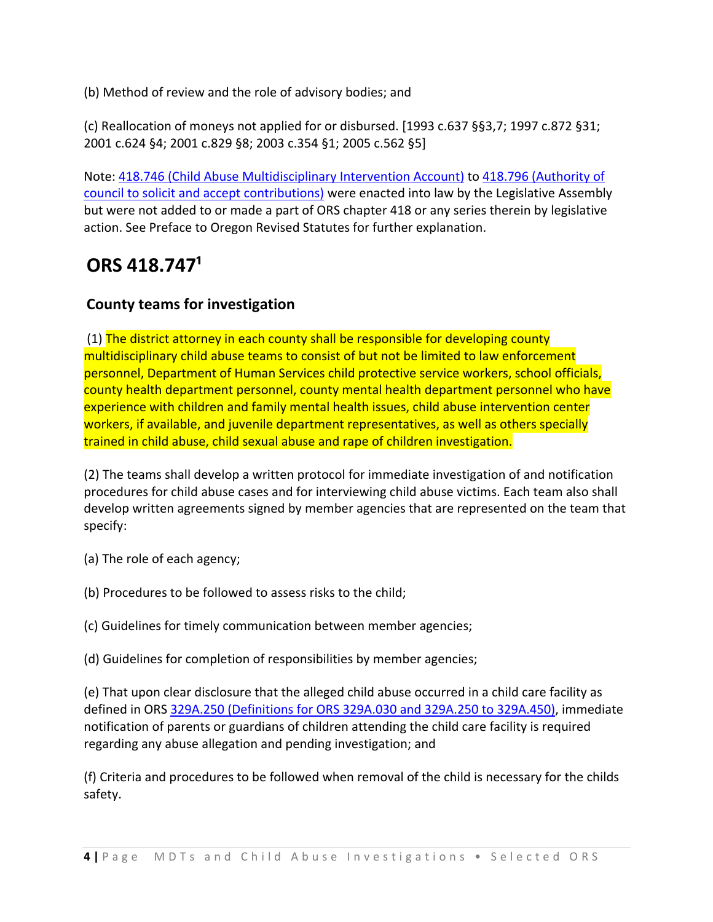(b) Method of review and the role of advisory bodies; and

(c) Reallocation of moneys not applied for or disbursed. [1993 c.637 §§3,7; 1997 c.872 §31; 2001 c.624 §4; 2001 c.829 §8; 2003 c.354 §1; 2005 c.562 §5]

Note: 418.746 (Child Abuse Multidisciplinary Intervention Account) to 418.796 (Authority of council to solicit and accept contributions) were enacted into law by the Legislative Assembly but were not added to or made a part of ORS chapter 418 or any series therein by legislative action. See Preface to Oregon Revised Statutes for further explanation.

# **ORS 418.747¹**

### **County teams for investigation**

(1) The district attorney in each county shall be responsible for developing county multidisciplinary child abuse teams to consist of but not be limited to law enforcement personnel, Department of Human Services child protective service workers, school officials, county health department personnel, county mental health department personnel who have experience with children and family mental health issues, child abuse intervention center workers, if available, and juvenile department representatives, as well as others specially trained in child abuse, child sexual abuse and rape of children investigation.

(2) The teams shall develop a written protocol for immediate investigation of and notification procedures for child abuse cases and for interviewing child abuse victims. Each team also shall develop written agreements signed by member agencies that are represented on the team that specify:

- (a) The role of each agency;
- (b) Procedures to be followed to assess risks to the child;
- (c) Guidelines for timely communication between member agencies;
- (d) Guidelines for completion of responsibilities by member agencies;

(e) That upon clear disclosure that the alleged child abuse occurred in a child care facility as defined in ORS 329A.250 (Definitions for ORS 329A.030 and 329A.250 to 329A.450), immediate notification of parents or guardians of children attending the child care facility is required regarding any abuse allegation and pending investigation; and

(f) Criteria and procedures to be followed when removal of the child is necessary for the childs safety.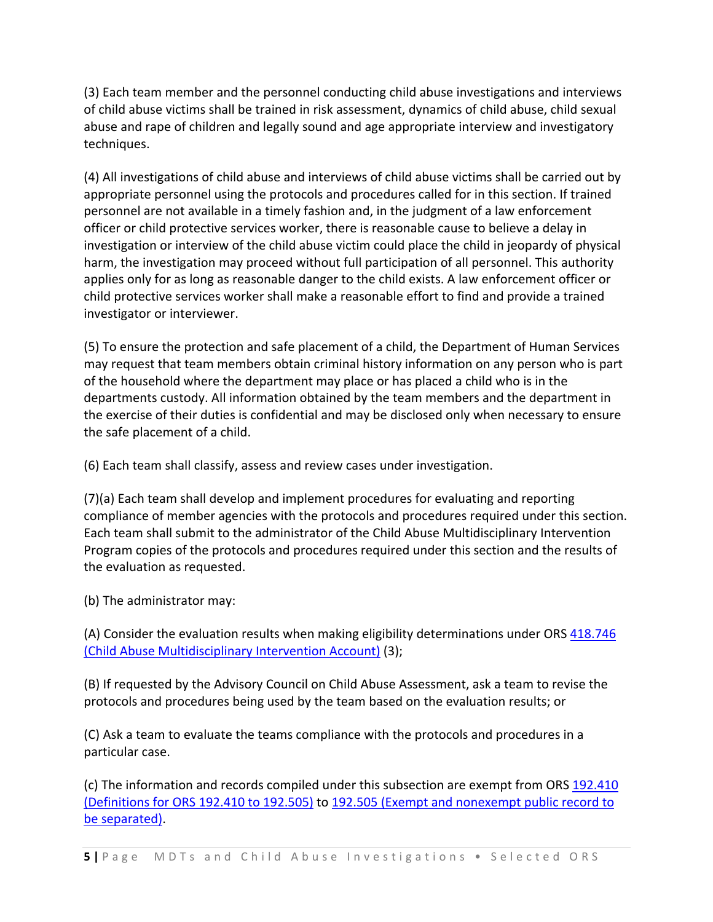(3) Each team member and the personnel conducting child abuse investigations and interviews of child abuse victims shall be trained in risk assessment, dynamics of child abuse, child sexual abuse and rape of children and legally sound and age appropriate interview and investigatory techniques.

(4) All investigations of child abuse and interviews of child abuse victims shall be carried out by appropriate personnel using the protocols and procedures called for in this section. If trained personnel are not available in a timely fashion and, in the judgment of a law enforcement officer or child protective services worker, there is reasonable cause to believe a delay in investigation or interview of the child abuse victim could place the child in jeopardy of physical harm, the investigation may proceed without full participation of all personnel. This authority applies only for as long as reasonable danger to the child exists. A law enforcement officer or child protective services worker shall make a reasonable effort to find and provide a trained investigator or interviewer.

(5) To ensure the protection and safe placement of a child, the Department of Human Services may request that team members obtain criminal history information on any person who is part of the household where the department may place or has placed a child who is in the departments custody. All information obtained by the team members and the department in the exercise of their duties is confidential and may be disclosed only when necessary to ensure the safe placement of a child.

(6) Each team shall classify, assess and review cases under investigation.

(7)(a) Each team shall develop and implement procedures for evaluating and reporting compliance of member agencies with the protocols and procedures required under this section. Each team shall submit to the administrator of the Child Abuse Multidisciplinary Intervention Program copies of the protocols and procedures required under this section and the results of the evaluation as requested.

(b) The administrator may:

(A) Consider the evaluation results when making eligibility determinations under ORS 418.746 (Child Abuse Multidisciplinary Intervention Account) (3);

(B) If requested by the Advisory Council on Child Abuse Assessment, ask a team to revise the protocols and procedures being used by the team based on the evaluation results; or

(C) Ask a team to evaluate the teams compliance with the protocols and procedures in a particular case.

(c) The information and records compiled under this subsection are exempt from ORS 192.410 (Definitions for ORS 192.410 to 192.505) to 192.505 (Exempt and nonexempt public record to be separated).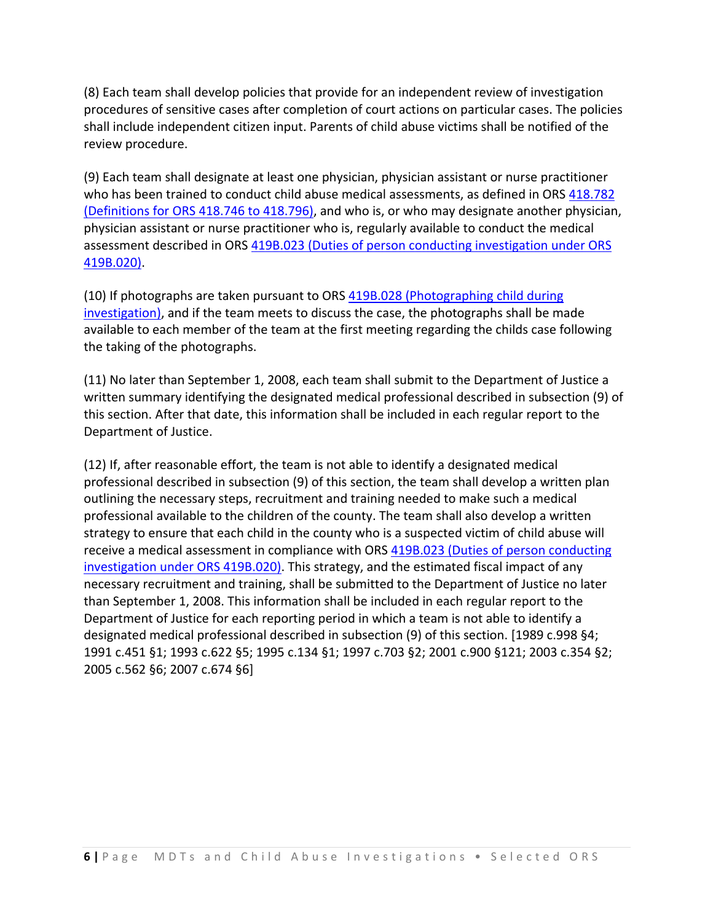(8) Each team shall develop policies that provide for an independent review of investigation procedures of sensitive cases after completion of court actions on particular cases. The policies shall include independent citizen input. Parents of child abuse victims shall be notified of the review procedure.

(9) Each team shall designate at least one physician, physician assistant or nurse practitioner who has been trained to conduct child abuse medical assessments, as defined in ORS 418.782 (Definitions for ORS 418.746 to 418.796), and who is, or who may designate another physician, physician assistant or nurse practitioner who is, regularly available to conduct the medical assessment described in ORS 419B.023 (Duties of person conducting investigation under ORS 419B.020).

(10) If photographs are taken pursuant to ORS 419B.028 (Photographing child during investigation), and if the team meets to discuss the case, the photographs shall be made available to each member of the team at the first meeting regarding the childs case following the taking of the photographs.

(11) No later than September 1, 2008, each team shall submit to the Department of Justice a written summary identifying the designated medical professional described in subsection (9) of this section. After that date, this information shall be included in each regular report to the Department of Justice.

(12) If, after reasonable effort, the team is not able to identify a designated medical professional described in subsection (9) of this section, the team shall develop a written plan outlining the necessary steps, recruitment and training needed to make such a medical professional available to the children of the county. The team shall also develop a written strategy to ensure that each child in the county who is a suspected victim of child abuse will receive a medical assessment in compliance with ORS 419B.023 (Duties of person conducting investigation under ORS 419B.020). This strategy, and the estimated fiscal impact of any necessary recruitment and training, shall be submitted to the Department of Justice no later than September 1, 2008. This information shall be included in each regular report to the Department of Justice for each reporting period in which a team is not able to identify a designated medical professional described in subsection (9) of this section. [1989 c.998 §4; 1991 c.451 §1; 1993 c.622 §5; 1995 c.134 §1; 1997 c.703 §2; 2001 c.900 §121; 2003 c.354 §2; 2005 c.562 §6; 2007 c.674 §6]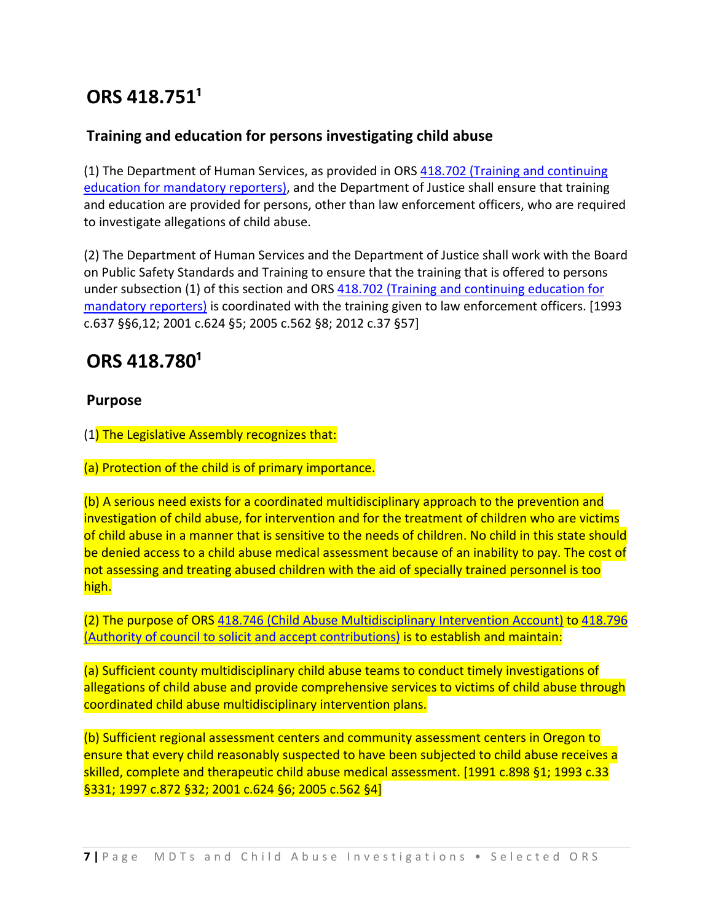# **ORS 418.751¹**

### **Training and education for persons investigating child abuse**

(1) The Department of Human Services, as provided in ORS 418.702 (Training and continuing education for mandatory reporters), and the Department of Justice shall ensure that training and education are provided for persons, other than law enforcement officers, who are required to investigate allegations of child abuse.

(2) The Department of Human Services and the Department of Justice shall work with the Board on Public Safety Standards and Training to ensure that the training that is offered to persons under subsection (1) of this section and ORS 418.702 (Training and continuing education for mandatory reporters) is coordinated with the training given to law enforcement officers. [1993 c.637 §§6,12; 2001 c.624 §5; 2005 c.562 §8; 2012 c.37 §57]

# **ORS 418.780¹**

### **Purpose**

(1) The Legislative Assembly recognizes that:

(a) Protection of the child is of primary importance.

(b) A serious need exists for a coordinated multidisciplinary approach to the prevention and investigation of child abuse, for intervention and for the treatment of children who are victims of child abuse in a manner that is sensitive to the needs of children. No child in this state should be denied access to a child abuse medical assessment because of an inability to pay. The cost of not assessing and treating abused children with the aid of specially trained personnel is too high.

(2) The purpose of ORS 418.746 (Child Abuse Multidisciplinary Intervention Account) to 418.796 (Authority of council to solicit and accept contributions) is to establish and maintain:

(a) Sufficient county multidisciplinary child abuse teams to conduct timely investigations of allegations of child abuse and provide comprehensive services to victims of child abuse through coordinated child abuse multidisciplinary intervention plans.

(b) Sufficient regional assessment centers and community assessment centers in Oregon to ensure that every child reasonably suspected to have been subjected to child abuse receives a skilled, complete and therapeutic child abuse medical assessment. [1991 c.898 §1; 1993 c.33 §331; 1997 c.872 §32; 2001 c.624 §6; 2005 c.562 §4]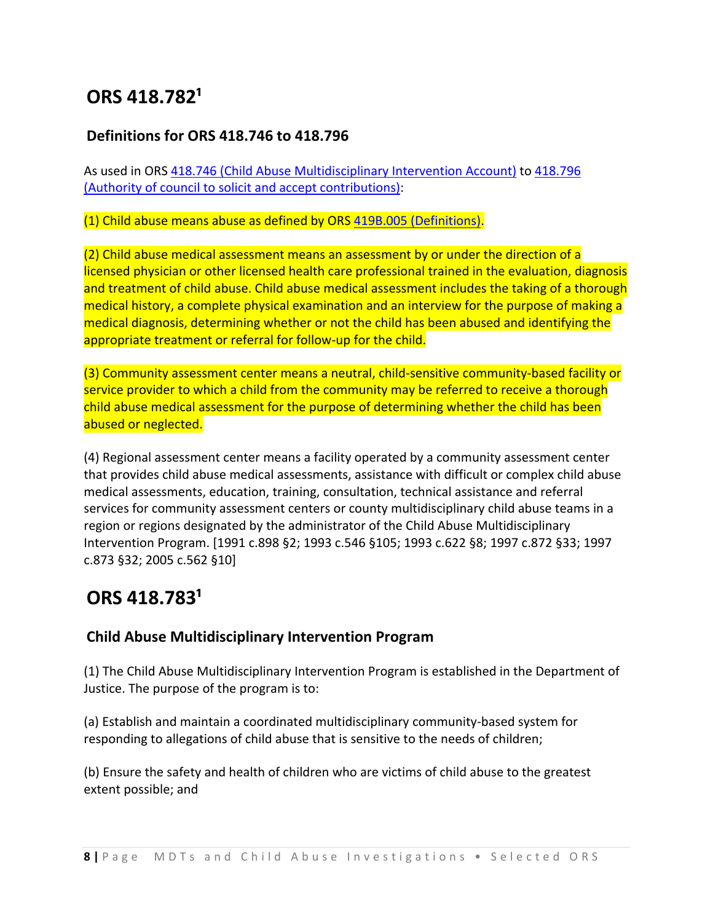# **ORS 418.782¹**

### **Definitions for ORS 418.746 to 418.796**

As used in ORS 418.746 (Child Abuse Multidisciplinary Intervention Account) to 418.796 (Authority of council to solicit and accept contributions):

#### (1) Child abuse means abuse as defined by ORS 419B.005 (Definitions).

(2) Child abuse medical assessment means an assessment by or under the direction of a licensed physician or other licensed health care professional trained in the evaluation, diagnosis and treatment of child abuse. Child abuse medical assessment includes the taking of a thorough medical history, a complete physical examination and an interview for the purpose of making a medical diagnosis, determining whether or not the child has been abused and identifying the appropriate treatment or referral for follow-up for the child.

(3) Community assessment center means a neutral, child‐sensitive community‐based facility or service provider to which a child from the community may be referred to receive a thorough child abuse medical assessment for the purpose of determining whether the child has been abused or neglected.

(4) Regional assessment center means a facility operated by a community assessment center that provides child abuse medical assessments, assistance with difficult or complex child abuse medical assessments, education, training, consultation, technical assistance and referral services for community assessment centers or county multidisciplinary child abuse teams in a region or regions designated by the administrator of the Child Abuse Multidisciplinary Intervention Program. [1991 c.898 §2; 1993 c.546 §105; 1993 c.622 §8; 1997 c.872 §33; 1997 c.873 §32; 2005 c.562 §10]

### **ORS 418.783¹**

### **Child Abuse Multidisciplinary Intervention Program**

(1) The Child Abuse Multidisciplinary Intervention Program is established in the Department of Justice. The purpose of the program is to:

(a) Establish and maintain a coordinated multidisciplinary community‐based system for responding to allegations of child abuse that is sensitive to the needs of children;

(b) Ensure the safety and health of children who are victims of child abuse to the greatest extent possible; and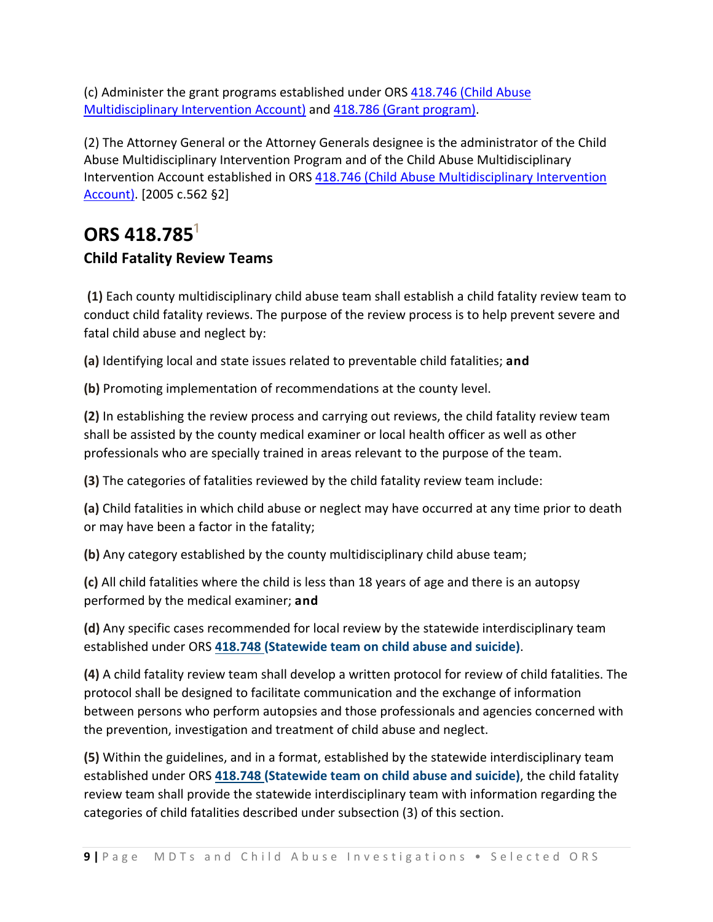(c) Administer the grant programs established under ORS 418.746 (Child Abuse Multidisciplinary Intervention Account) and 418.786 (Grant program).

(2) The Attorney General or the Attorney Generals designee is the administrator of the Child Abuse Multidisciplinary Intervention Program and of the Child Abuse Multidisciplinary Intervention Account established in ORS 418.746 (Child Abuse Multidisciplinary Intervention Account). [2005 c.562 §2]

# **ORS** 418.785<sup>1</sup> **Child Fatality Review Teams**

**(1)** Each county multidisciplinary child abuse team shall establish a child fatality review team to conduct child fatality reviews. The purpose of the review process is to help prevent severe and fatal child abuse and neglect by:

**(a)** Identifying local and state issues related to preventable child fatalities; **and**

**(b)** Promoting implementation of recommendations at the county level.

**(2)** In establishing the review process and carrying out reviews, the child fatality review team shall be assisted by the county medical examiner or local health officer as well as other professionals who are specially trained in areas relevant to the purpose of the team.

**(3)** The categories of fatalities reviewed by the child fatality review team include:

**(a)** Child fatalities in which child abuse or neglect may have occurred at any time prior to death or may have been a factor in the fatality;

**(b)** Any category established by the county multidisciplinary child abuse team;

**(c)** All child fatalities where the child is less than 18 years of age and there is an autopsy performed by the medical examiner; **and**

**(d)** Any specific cases recommended for local review by the statewide interdisciplinary team established under ORS **418.748 (Statewide team on child abuse and suicide)**.

**(4)** A child fatality review team shall develop a written protocol for review of child fatalities. The protocol shall be designed to facilitate communication and the exchange of information between persons who perform autopsies and those professionals and agencies concerned with the prevention, investigation and treatment of child abuse and neglect.

**(5)** Within the guidelines, and in a format, established by the statewide interdisciplinary team established under ORS **418.748 (Statewide team on child abuse and suicide)**, the child fatality review team shall provide the statewide interdisciplinary team with information regarding the categories of child fatalities described under subsection (3) of this section.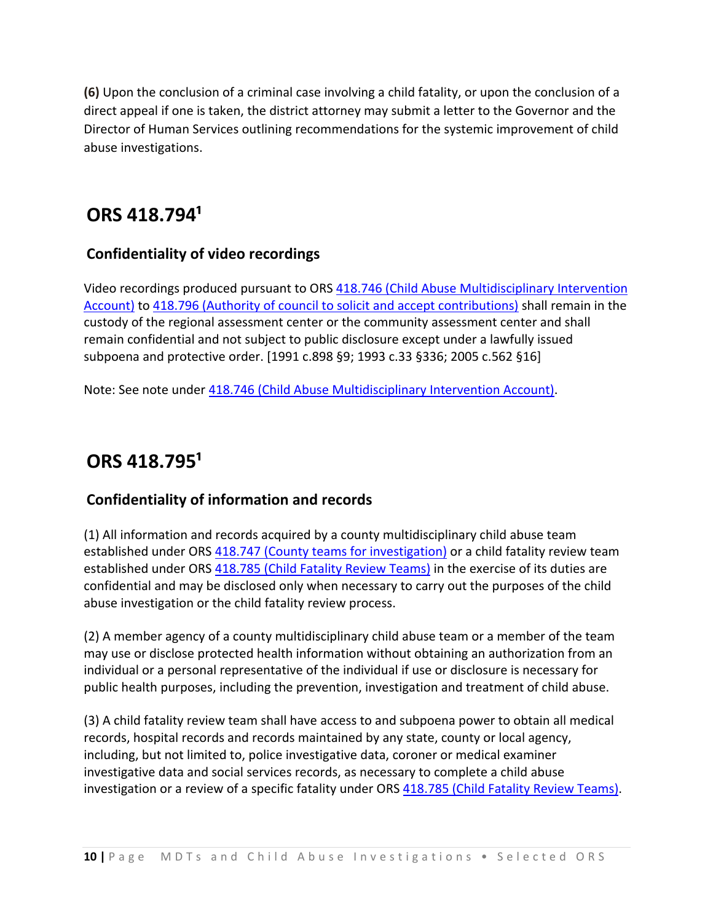**(6)** Upon the conclusion of a criminal case involving a child fatality, or upon the conclusion of a direct appeal if one is taken, the district attorney may submit a letter to the Governor and the Director of Human Services outlining recommendations for the systemic improvement of child abuse investigations.

### **ORS 418.794¹**

### **Confidentiality of video recordings**

Video recordings produced pursuant to ORS 418.746 (Child Abuse Multidisciplinary Intervention Account) to 418.796 (Authority of council to solicit and accept contributions) shall remain in the custody of the regional assessment center or the community assessment center and shall remain confidential and not subject to public disclosure except under a lawfully issued subpoena and protective order. [1991 c.898 §9; 1993 c.33 §336; 2005 c.562 §16]

Note: See note under 418.746 (Child Abuse Multidisciplinary Intervention Account).

# **ORS 418.795¹**

### **Confidentiality of information and records**

(1) All information and records acquired by a county multidisciplinary child abuse team established under ORS 418.747 (County teams for investigation) or a child fatality review team established under ORS 418.785 (Child Fatality Review Teams) in the exercise of its duties are confidential and may be disclosed only when necessary to carry out the purposes of the child abuse investigation or the child fatality review process.

(2) A member agency of a county multidisciplinary child abuse team or a member of the team may use or disclose protected health information without obtaining an authorization from an individual or a personal representative of the individual if use or disclosure is necessary for public health purposes, including the prevention, investigation and treatment of child abuse.

(3) A child fatality review team shall have access to and subpoena power to obtain all medical records, hospital records and records maintained by any state, county or local agency, including, but not limited to, police investigative data, coroner or medical examiner investigative data and social services records, as necessary to complete a child abuse investigation or a review of a specific fatality under ORS 418.785 (Child Fatality Review Teams).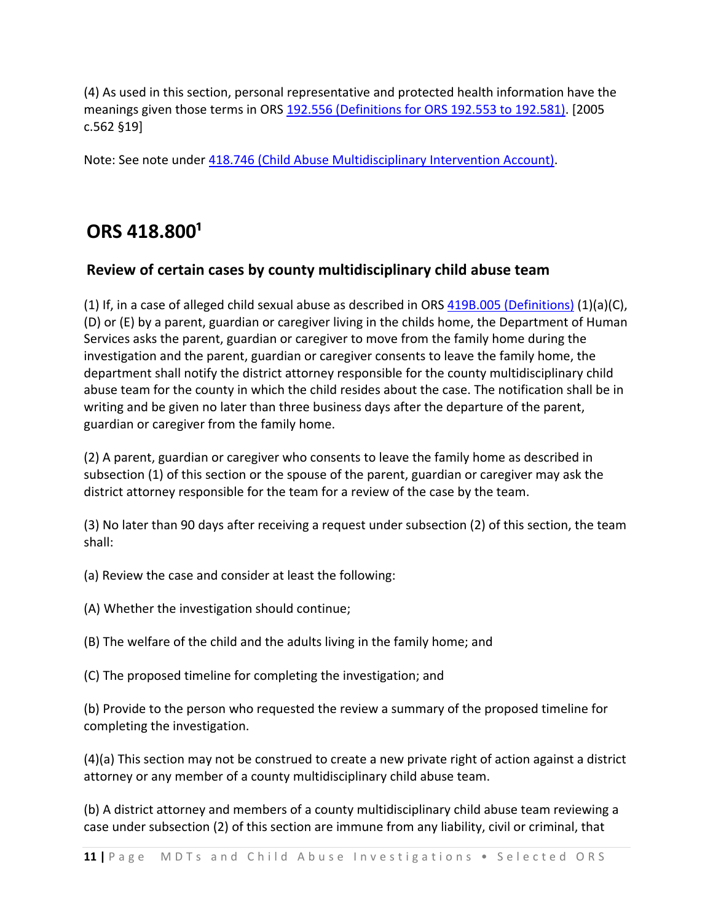(4) As used in this section, personal representative and protected health information have the meanings given those terms in ORS 192.556 (Definitions for ORS 192.553 to 192.581). [2005 c.562 §19]

Note: See note under 418.746 (Child Abuse Multidisciplinary Intervention Account).

# **ORS 418.800¹**

### **Review of certain cases by county multidisciplinary child abuse team**

(1) If, in a case of alleged child sexual abuse as described in ORS  $419B.005$  (Definitions) (1)(a)(C), (D) or (E) by a parent, guardian or caregiver living in the childs home, the Department of Human Services asks the parent, guardian or caregiver to move from the family home during the investigation and the parent, guardian or caregiver consents to leave the family home, the department shall notify the district attorney responsible for the county multidisciplinary child abuse team for the county in which the child resides about the case. The notification shall be in writing and be given no later than three business days after the departure of the parent, guardian or caregiver from the family home.

(2) A parent, guardian or caregiver who consents to leave the family home as described in subsection (1) of this section or the spouse of the parent, guardian or caregiver may ask the district attorney responsible for the team for a review of the case by the team.

(3) No later than 90 days after receiving a request under subsection (2) of this section, the team shall:

(a) Review the case and consider at least the following:

(A) Whether the investigation should continue;

(B) The welfare of the child and the adults living in the family home; and

(C) The proposed timeline for completing the investigation; and

(b) Provide to the person who requested the review a summary of the proposed timeline for completing the investigation.

(4)(a) This section may not be construed to create a new private right of action against a district attorney or any member of a county multidisciplinary child abuse team.

(b) A district attorney and members of a county multidisciplinary child abuse team reviewing a case under subsection (2) of this section are immune from any liability, civil or criminal, that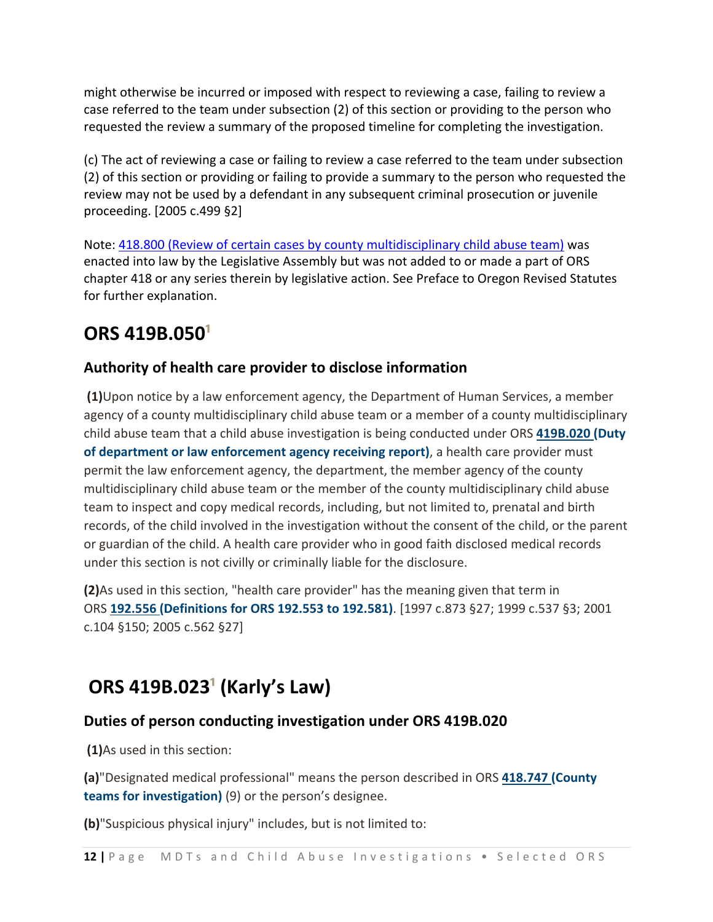might otherwise be incurred or imposed with respect to reviewing a case, failing to review a case referred to the team under subsection (2) of this section or providing to the person who requested the review a summary of the proposed timeline for completing the investigation.

(c) The act of reviewing a case or failing to review a case referred to the team under subsection (2) of this section or providing or failing to provide a summary to the person who requested the review may not be used by a defendant in any subsequent criminal prosecution or juvenile proceeding. [2005 c.499 §2]

Note: 418.800 (Review of certain cases by county multidisciplinary child abuse team) was enacted into law by the Legislative Assembly but was not added to or made a part of ORS chapter 418 or any series therein by legislative action. See Preface to Oregon Revised Statutes for further explanation.

# **ORS 419B.050¹**

### **Authority of health care provider to disclose information**

**(1)**Upon notice by a law enforcement agency, the Department of Human Services, a member agency of a county multidisciplinary child abuse team or a member of a county multidisciplinary child abuse team that a child abuse investigation is being conducted under ORS **419B.020 (Duty of department or law enforcement agency receiving report)**, a health care provider must permit the law enforcement agency, the department, the member agency of the county multidisciplinary child abuse team or the member of the county multidisciplinary child abuse team to inspect and copy medical records, including, but not limited to, prenatal and birth records, of the child involved in the investigation without the consent of the child, or the parent or guardian of the child. A health care provider who in good faith disclosed medical records under this section is not civilly or criminally liable for the disclosure.

**(2)**As used in this section, "health care provider" has the meaning given that term in ORS **192.556 (Definitions for ORS 192.553 to 192.581)**. [1997 c.873 §27; 1999 c.537 §3; 2001 c.104 §150; 2005 c.562 §27]

# **ORS 419B.023¹ (Karly's Law)**

### **Duties of person conducting investigation under ORS 419B.020**

**(1)**As used in this section:

**(a)**"Designated medical professional" means the person described in ORS **418.747 (County teams for investigation)** (9) or the person's designee.

**(b)**"Suspicious physical injury" includes, but is not limited to: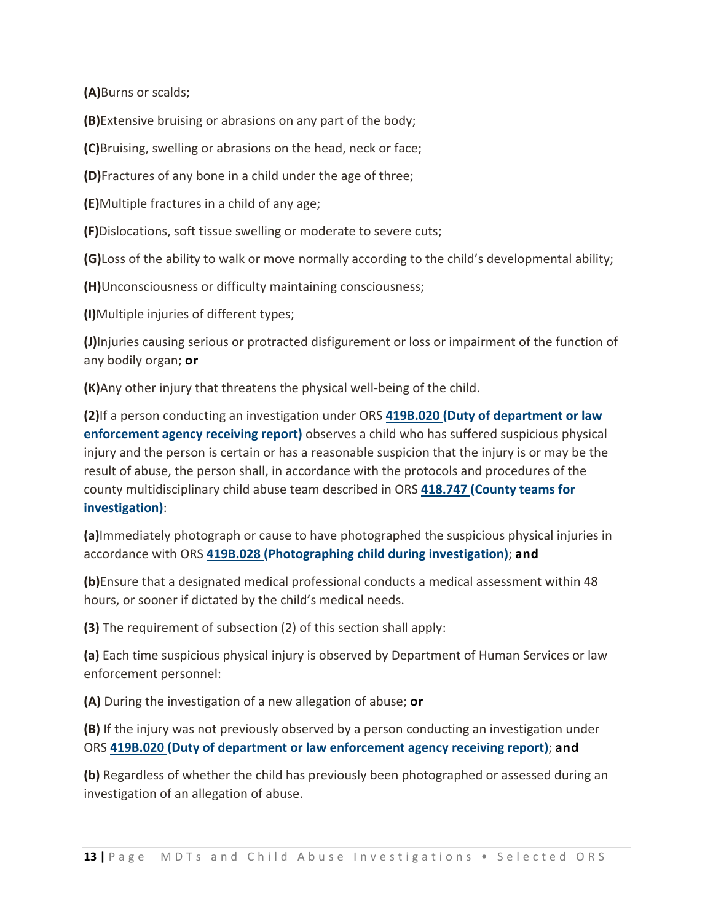**(A)**Burns or scalds;

**(B)**Extensive bruising or abrasions on any part of the body;

**(C)**Bruising, swelling or abrasions on the head, neck or face;

**(D)**Fractures of any bone in a child under the age of three;

**(E)**Multiple fractures in a child of any age;

**(F)**Dislocations, soft tissue swelling or moderate to severe cuts;

**(G)**Loss of the ability to walk or move normally according to the child's developmental ability;

**(H)**Unconsciousness or difficulty maintaining consciousness;

**(I)**Multiple injuries of different types;

**(J)**Injuries causing serious or protracted disfigurement or loss or impairment of the function of any bodily organ; **or**

**(K)**Any other injury that threatens the physical well‐being of the child.

**(2)**If a person conducting an investigation under ORS **419B.020 (Duty of department or law enforcement agency receiving report)** observes a child who has suffered suspicious physical injury and the person is certain or has a reasonable suspicion that the injury is or may be the result of abuse, the person shall, in accordance with the protocols and procedures of the county multidisciplinary child abuse team described in ORS **418.747 (County teams for investigation)**:

**(a)**Immediately photograph or cause to have photographed the suspicious physical injuries in accordance with ORS **419B.028 (Photographing child during investigation)**; **and**

**(b)**Ensure that a designated medical professional conducts a medical assessment within 48 hours, or sooner if dictated by the child's medical needs.

**(3)** The requirement of subsection (2) of this section shall apply:

**(a)** Each time suspicious physical injury is observed by Department of Human Services or law enforcement personnel:

**(A)** During the investigation of a new allegation of abuse; **or**

**(B)** If the injury was not previously observed by a person conducting an investigation under ORS **419B.020 (Duty of department or law enforcement agency receiving report)**; **and**

**(b)** Regardless of whether the child has previously been photographed or assessed during an investigation of an allegation of abuse.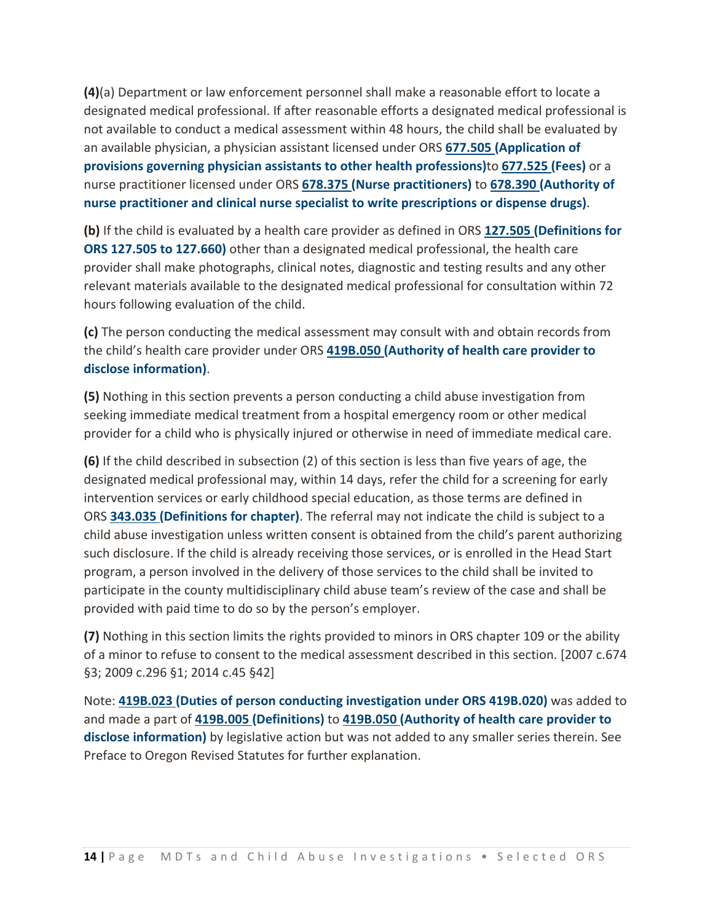**(4)**(a) Department or law enforcement personnel shall make a reasonable effort to locate a designated medical professional. If after reasonable efforts a designated medical professional is not available to conduct a medical assessment within 48 hours, the child shall be evaluated by an available physician, a physician assistant licensed under ORS **677.505 (Application of provisions governing physician assistants to other health professions)**to **677.525 (Fees)** or a nurse practitioner licensed under ORS **678.375 (Nurse practitioners)** to **678.390 (Authority of nurse practitioner and clinical nurse specialist to write prescriptions or dispense drugs)**.

**(b)** If the child is evaluated by a health care provider as defined in ORS **127.505 (Definitions for ORS 127.505 to 127.660)** other than a designated medical professional, the health care provider shall make photographs, clinical notes, diagnostic and testing results and any other relevant materials available to the designated medical professional for consultation within 72 hours following evaluation of the child.

**(c)** The person conducting the medical assessment may consult with and obtain records from the child's health care provider under ORS **419B.050 (Authority of health care provider to disclose information)**.

**(5)** Nothing in this section prevents a person conducting a child abuse investigation from seeking immediate medical treatment from a hospital emergency room or other medical provider for a child who is physically injured or otherwise in need of immediate medical care.

**(6)** If the child described in subsection (2) of this section is less than five years of age, the designated medical professional may, within 14 days, refer the child for a screening for early intervention services or early childhood special education, as those terms are defined in ORS **343.035 (Definitions for chapter)**. The referral may not indicate the child is subject to a child abuse investigation unless written consent is obtained from the child's parent authorizing such disclosure. If the child is already receiving those services, or is enrolled in the Head Start program, a person involved in the delivery of those services to the child shall be invited to participate in the county multidisciplinary child abuse team's review of the case and shall be provided with paid time to do so by the person's employer.

**(7)** Nothing in this section limits the rights provided to minors in ORS chapter 109 or the ability of a minor to refuse to consent to the medical assessment described in this section. [2007 c.674 §3; 2009 c.296 §1; 2014 c.45 §42]

Note: **419B.023 (Duties of person conducting investigation under ORS 419B.020)** was added to and made a part of **419B.005 (Definitions)** to **419B.050 (Authority of health care provider to disclose information)** by legislative action but was not added to any smaller series therein. See Preface to Oregon Revised Statutes for further explanation.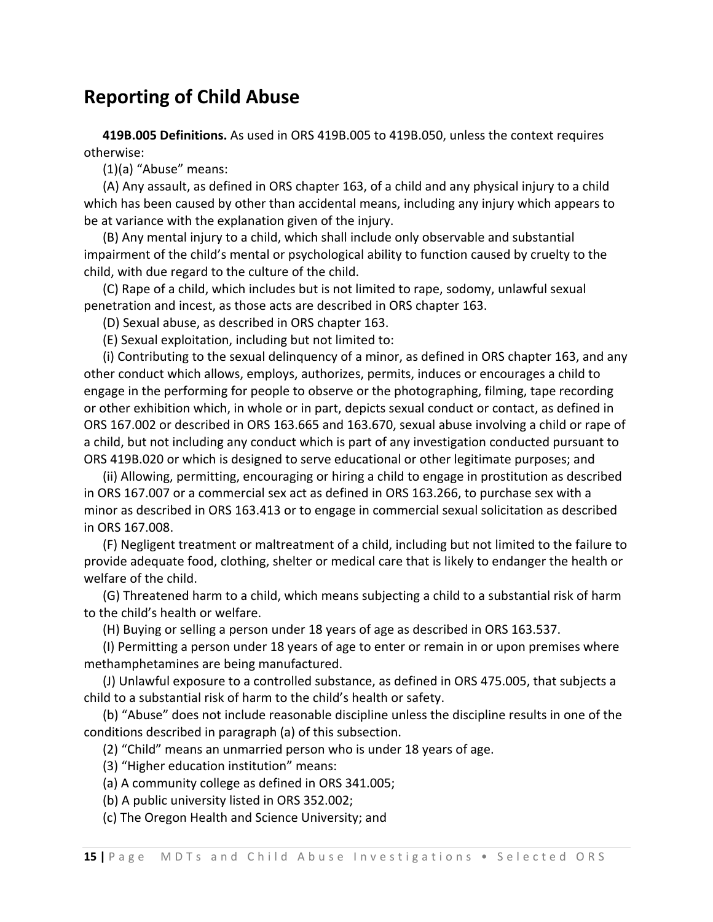### **Reporting of Child Abuse**

 **419B.005 Definitions.** As used in ORS 419B.005 to 419B.050, unless the context requires otherwise:

(1)(a) "Abuse" means:

 (A) Any assault, as defined in ORS chapter 163, of a child and any physical injury to a child which has been caused by other than accidental means, including any injury which appears to be at variance with the explanation given of the injury.

 (B) Any mental injury to a child, which shall include only observable and substantial impairment of the child's mental or psychological ability to function caused by cruelty to the child, with due regard to the culture of the child.

 (C) Rape of a child, which includes but is not limited to rape, sodomy, unlawful sexual penetration and incest, as those acts are described in ORS chapter 163.

(D) Sexual abuse, as described in ORS chapter 163.

(E) Sexual exploitation, including but not limited to:

 (i) Contributing to the sexual delinquency of a minor, as defined in ORS chapter 163, and any other conduct which allows, employs, authorizes, permits, induces or encourages a child to engage in the performing for people to observe or the photographing, filming, tape recording or other exhibition which, in whole or in part, depicts sexual conduct or contact, as defined in ORS 167.002 or described in ORS 163.665 and 163.670, sexual abuse involving a child or rape of a child, but not including any conduct which is part of any investigation conducted pursuant to ORS 419B.020 or which is designed to serve educational or other legitimate purposes; and

 (ii) Allowing, permitting, encouraging or hiring a child to engage in prostitution as described in ORS 167.007 or a commercial sex act as defined in ORS 163.266, to purchase sex with a minor as described in ORS 163.413 or to engage in commercial sexual solicitation as described in ORS 167.008.

 (F) Negligent treatment or maltreatment of a child, including but not limited to the failure to provide adequate food, clothing, shelter or medical care that is likely to endanger the health or welfare of the child.

 (G) Threatened harm to a child, which means subjecting a child to a substantial risk of harm to the child's health or welfare.

(H) Buying or selling a person under 18 years of age as described in ORS 163.537.

 (I) Permitting a person under 18 years of age to enter or remain in or upon premises where methamphetamines are being manufactured.

 (J) Unlawful exposure to a controlled substance, as defined in ORS 475.005, that subjects a child to a substantial risk of harm to the child's health or safety.

 (b) "Abuse" does not include reasonable discipline unless the discipline results in one of the conditions described in paragraph (a) of this subsection.

(2) "Child" means an unmarried person who is under 18 years of age.

- (3) "Higher education institution" means:
- (a) A community college as defined in ORS 341.005;
- (b) A public university listed in ORS 352.002;

(c) The Oregon Health and Science University; and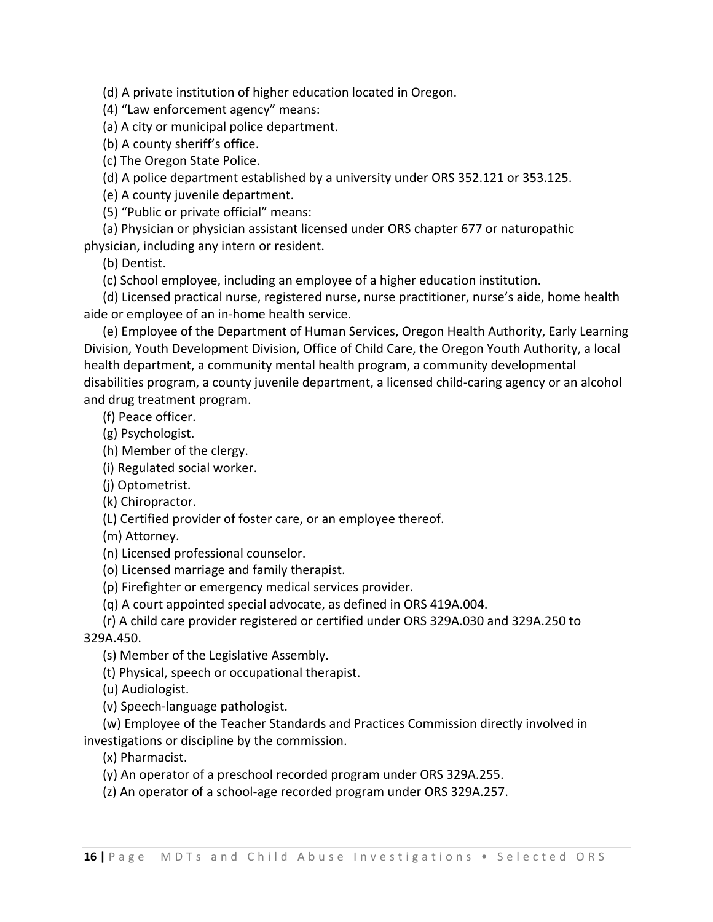(d) A private institution of higher education located in Oregon.

(4) "Law enforcement agency" means:

(a) A city or municipal police department.

(b) A county sheriff's office.

(c) The Oregon State Police.

(d) A police department established by a university under ORS 352.121 or 353.125.

(e) A county juvenile department.

(5) "Public or private official" means:

(a) Physician or physician assistant licensed under ORS chapter 677 or naturopathic

physician, including any intern or resident.

(b) Dentist.

(c) School employee, including an employee of a higher education institution.

 (d) Licensed practical nurse, registered nurse, nurse practitioner, nurse's aide, home health aide or employee of an in‐home health service.

 (e) Employee of the Department of Human Services, Oregon Health Authority, Early Learning Division, Youth Development Division, Office of Child Care, the Oregon Youth Authority, a local health department, a community mental health program, a community developmental disabilities program, a county juvenile department, a licensed child‐caring agency or an alcohol and drug treatment program.

(f) Peace officer.

(g) Psychologist.

(h) Member of the clergy.

(i) Regulated social worker.

(j) Optometrist.

(k) Chiropractor.

(L) Certified provider of foster care, or an employee thereof.

(m) Attorney.

(n) Licensed professional counselor.

(o) Licensed marriage and family therapist.

(p) Firefighter or emergency medical services provider.

(q) A court appointed special advocate, as defined in ORS 419A.004.

 (r) A child care provider registered or certified under ORS 329A.030 and 329A.250 to 329A.450.

(s) Member of the Legislative Assembly.

(t) Physical, speech or occupational therapist.

(u) Audiologist.

(v) Speech‐language pathologist.

 (w) Employee of the Teacher Standards and Practices Commission directly involved in investigations or discipline by the commission.

(x) Pharmacist.

(y) An operator of a preschool recorded program under ORS 329A.255.

(z) An operator of a school‐age recorded program under ORS 329A.257.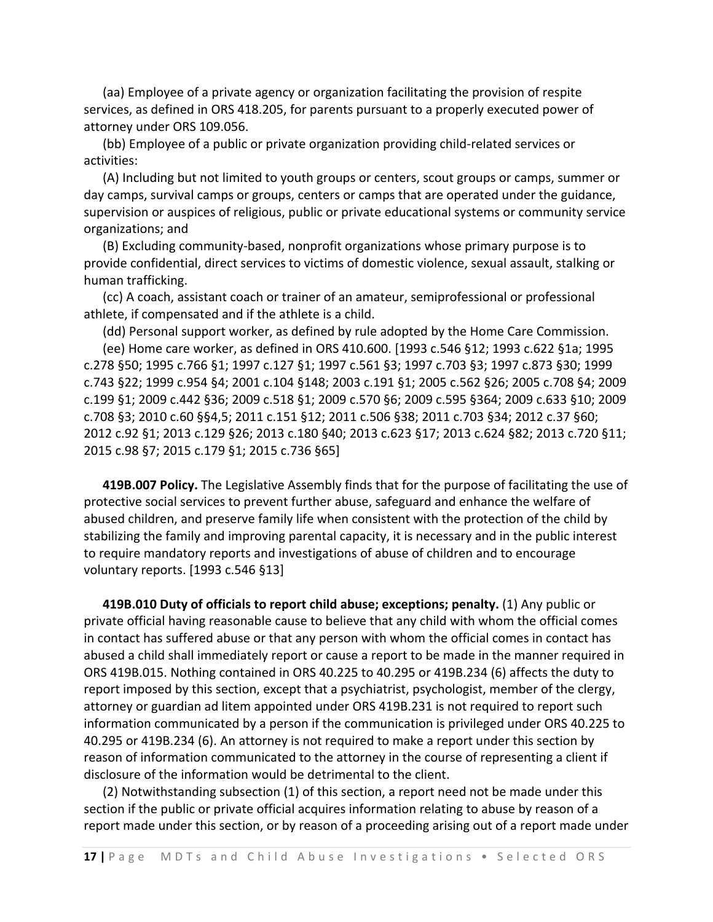(aa) Employee of a private agency or organization facilitating the provision of respite services, as defined in ORS 418.205, for parents pursuant to a properly executed power of attorney under ORS 109.056.

 (bb) Employee of a public or private organization providing child‐related services or activities:

 (A) Including but not limited to youth groups or centers, scout groups or camps, summer or day camps, survival camps or groups, centers or camps that are operated under the guidance, supervision or auspices of religious, public or private educational systems or community service organizations; and

 (B) Excluding community‐based, nonprofit organizations whose primary purpose is to provide confidential, direct services to victims of domestic violence, sexual assault, stalking or human trafficking.

 (cc) A coach, assistant coach or trainer of an amateur, semiprofessional or professional athlete, if compensated and if the athlete is a child.

 (dd) Personal support worker, as defined by rule adopted by the Home Care Commission. (ee) Home care worker, as defined in ORS 410.600. [1993 c.546 §12; 1993 c.622 §1a; 1995 c.278 §50; 1995 c.766 §1; 1997 c.127 §1; 1997 c.561 §3; 1997 c.703 §3; 1997 c.873 §30; 1999 c.743 §22; 1999 c.954 §4; 2001 c.104 §148; 2003 c.191 §1; 2005 c.562 §26; 2005 c.708 §4; 2009 c.199 §1; 2009 c.442 §36; 2009 c.518 §1; 2009 c.570 §6; 2009 c.595 §364; 2009 c.633 §10; 2009 c.708 §3; 2010 c.60 §§4,5; 2011 c.151 §12; 2011 c.506 §38; 2011 c.703 §34; 2012 c.37 §60; 2012 c.92 §1; 2013 c.129 §26; 2013 c.180 §40; 2013 c.623 §17; 2013 c.624 §82; 2013 c.720 §11; 2015 c.98 §7; 2015 c.179 §1; 2015 c.736 §65]

 **419B.007 Policy.** The Legislative Assembly finds that for the purpose of facilitating the use of protective social services to prevent further abuse, safeguard and enhance the welfare of abused children, and preserve family life when consistent with the protection of the child by stabilizing the family and improving parental capacity, it is necessary and in the public interest to require mandatory reports and investigations of abuse of children and to encourage voluntary reports. [1993 c.546 §13]

 **419B.010 Duty of officials to report child abuse; exceptions; penalty.** (1) Any public or private official having reasonable cause to believe that any child with whom the official comes in contact has suffered abuse or that any person with whom the official comes in contact has abused a child shall immediately report or cause a report to be made in the manner required in ORS 419B.015. Nothing contained in ORS 40.225 to 40.295 or 419B.234 (6) affects the duty to report imposed by this section, except that a psychiatrist, psychologist, member of the clergy, attorney or guardian ad litem appointed under ORS 419B.231 is not required to report such information communicated by a person if the communication is privileged under ORS 40.225 to 40.295 or 419B.234 (6). An attorney is not required to make a report under this section by reason of information communicated to the attorney in the course of representing a client if disclosure of the information would be detrimental to the client.

 (2) Notwithstanding subsection (1) of this section, a report need not be made under this section if the public or private official acquires information relating to abuse by reason of a report made under this section, or by reason of a proceeding arising out of a report made under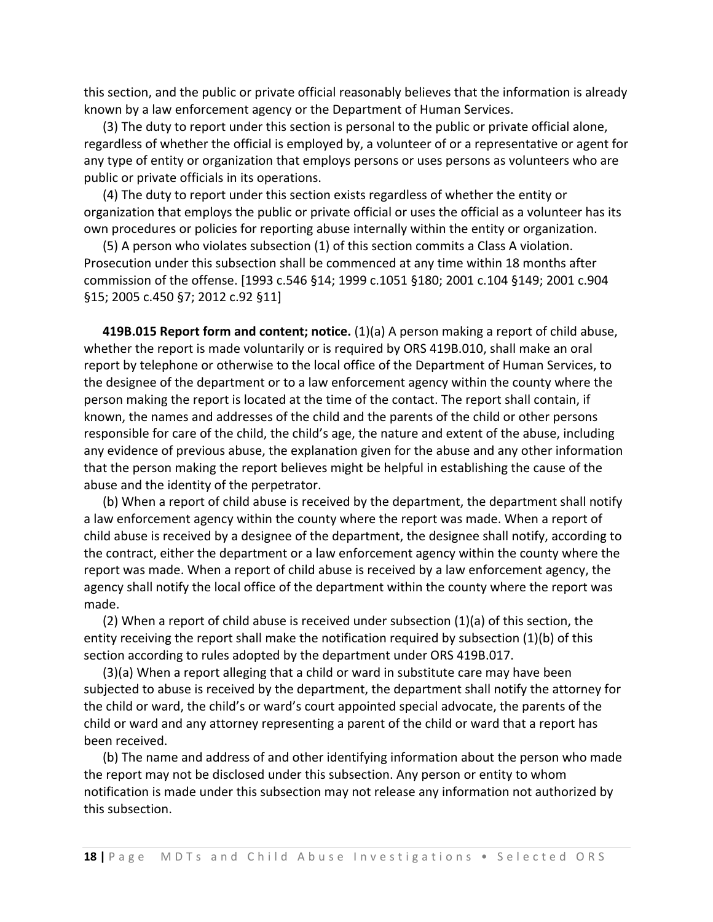this section, and the public or private official reasonably believes that the information is already known by a law enforcement agency or the Department of Human Services.

 (3) The duty to report under this section is personal to the public or private official alone, regardless of whether the official is employed by, a volunteer of or a representative or agent for any type of entity or organization that employs persons or uses persons as volunteers who are public or private officials in its operations.

 (4) The duty to report under this section exists regardless of whether the entity or organization that employs the public or private official or uses the official as a volunteer has its own procedures or policies for reporting abuse internally within the entity or organization.

 (5) A person who violates subsection (1) of this section commits a Class A violation. Prosecution under this subsection shall be commenced at any time within 18 months after commission of the offense. [1993 c.546 §14; 1999 c.1051 §180; 2001 c.104 §149; 2001 c.904 §15; 2005 c.450 §7; 2012 c.92 §11]

 **419B.015 Report form and content; notice.** (1)(a) A person making a report of child abuse, whether the report is made voluntarily or is required by ORS 419B.010, shall make an oral report by telephone or otherwise to the local office of the Department of Human Services, to the designee of the department or to a law enforcement agency within the county where the person making the report is located at the time of the contact. The report shall contain, if known, the names and addresses of the child and the parents of the child or other persons responsible for care of the child, the child's age, the nature and extent of the abuse, including any evidence of previous abuse, the explanation given for the abuse and any other information that the person making the report believes might be helpful in establishing the cause of the abuse and the identity of the perpetrator.

 (b) When a report of child abuse is received by the department, the department shall notify a law enforcement agency within the county where the report was made. When a report of child abuse is received by a designee of the department, the designee shall notify, according to the contract, either the department or a law enforcement agency within the county where the report was made. When a report of child abuse is received by a law enforcement agency, the agency shall notify the local office of the department within the county where the report was made.

 (2) When a report of child abuse is received under subsection (1)(a) of this section, the entity receiving the report shall make the notification required by subsection (1)(b) of this section according to rules adopted by the department under ORS 419B.017.

 (3)(a) When a report alleging that a child or ward in substitute care may have been subjected to abuse is received by the department, the department shall notify the attorney for the child or ward, the child's or ward's court appointed special advocate, the parents of the child or ward and any attorney representing a parent of the child or ward that a report has been received.

 (b) The name and address of and other identifying information about the person who made the report may not be disclosed under this subsection. Any person or entity to whom notification is made under this subsection may not release any information not authorized by this subsection.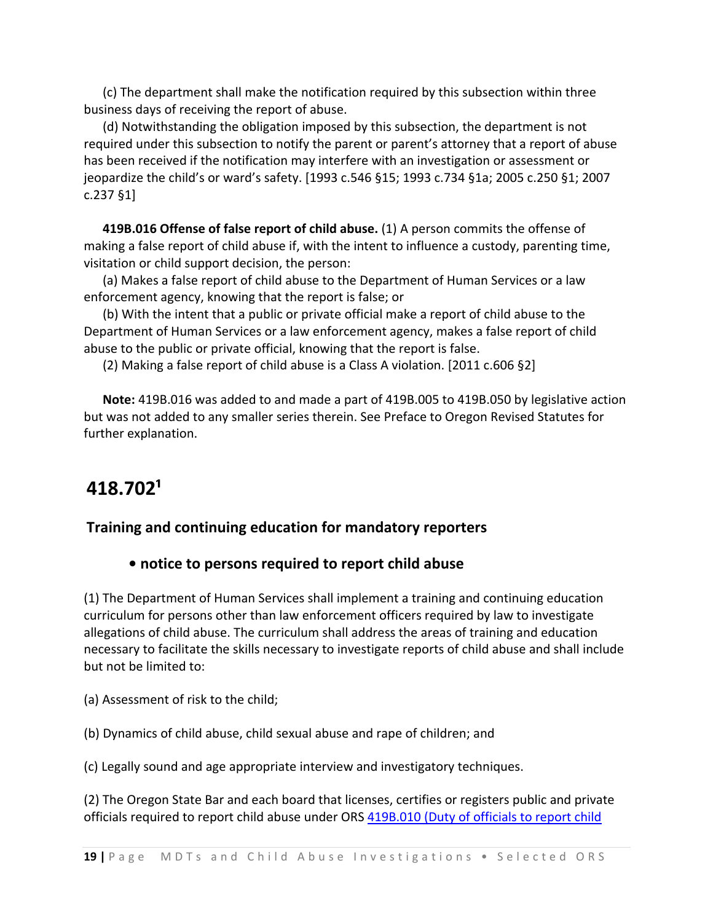(c) The department shall make the notification required by this subsection within three business days of receiving the report of abuse.

 (d) Notwithstanding the obligation imposed by this subsection, the department is not required under this subsection to notify the parent or parent's attorney that a report of abuse has been received if the notification may interfere with an investigation or assessment or jeopardize the child's or ward's safety. [1993 c.546 §15; 1993 c.734 §1a; 2005 c.250 §1; 2007 c.237 §1]

 **419B.016 Offense of false report of child abuse.** (1) A person commits the offense of making a false report of child abuse if, with the intent to influence a custody, parenting time, visitation or child support decision, the person:

 (a) Makes a false report of child abuse to the Department of Human Services or a law enforcement agency, knowing that the report is false; or

 (b) With the intent that a public or private official make a report of child abuse to the Department of Human Services or a law enforcement agency, makes a false report of child abuse to the public or private official, knowing that the report is false.

(2) Making a false report of child abuse is a Class A violation. [2011 c.606 §2]

 **Note:** 419B.016 was added to and made a part of 419B.005 to 419B.050 by legislative action but was not added to any smaller series therein. See Preface to Oregon Revised Statutes for further explanation.

# **418.702¹**

### **Training and continuing education for mandatory reporters**

### **• notice to persons required to report child abuse**

(1) The Department of Human Services shall implement a training and continuing education curriculum for persons other than law enforcement officers required by law to investigate allegations of child abuse. The curriculum shall address the areas of training and education necessary to facilitate the skills necessary to investigate reports of child abuse and shall include but not be limited to:

(a) Assessment of risk to the child;

(b) Dynamics of child abuse, child sexual abuse and rape of children; and

(c) Legally sound and age appropriate interview and investigatory techniques.

(2) The Oregon State Bar and each board that licenses, certifies or registers public and private officials required to report child abuse under ORS 419B.010 (Duty of officials to report child